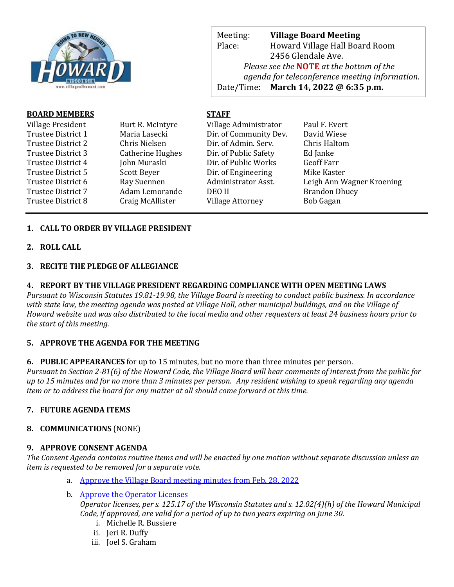

Meeting: **Village Board Meeting** Place: Howard Village Hall Board Room 2456 Glendale Ave. *Please see the* **NOTE** *at the bottom of the agenda for teleconference meeting information.*  Date/Time: **March 14, 2022 @ 6:35 p.m.**

web Page: www.villageoff.com

# **BOARD MEMBERS STAFF**

| Village President  | Burt R. McIntyre        | Village Administrator   | Paul F. Evert             |
|--------------------|-------------------------|-------------------------|---------------------------|
| Trustee District 1 | Maria Lasecki           | Dir. of Community Dev.  | David Wiese               |
| Trustee District 2 | Chris Nielsen           | Dir. of Admin. Serv.    | Chris Haltom              |
| Trustee District 3 | <b>Catherine Hughes</b> | Dir. of Public Safety   | Ed Janke                  |
| Trustee District 4 | John Muraski            | Dir. of Public Works    | <b>Geoff Farr</b>         |
| Trustee District 5 | Scott Beyer             | Dir. of Engineering     | Mike Kaster               |
| Trustee District 6 | Ray Suennen             | Administrator Asst.     | Leigh Ann Wagner Kroening |
| Trustee District 7 | Adam Lemorande          | DEO II                  | <b>Brandon Dhuey</b>      |
| Trustee District 8 | Craig McAllister        | <b>Village Attorney</b> | <b>Bob Gagan</b>          |

# **1. CALL TO ORDER BY VILLAGE PRESIDENT**

**2. ROLL CALL**

### **3. RECITE THE PLEDGE OF ALLEGIANCE**

### **4. REPORT BY THE VILLAGE PRESIDENT REGARDING COMPLIANCE WITH OPEN MEETING LAWS**

*Pursuant to Wisconsin Statutes 19.81-19.98, the Village Board is meeting to conduct public business. In accordance with state law, the meeting agenda was posted at Village Hall, other municipal buildings, and on the Village of Howard website and was also distributed to the local media and other requesters at least 24 business hours prior to the start of this meeting.* 

# **5. APPROVE THE AGENDA FOR THE MEETING**

**6. PUBLIC APPEARANCES** for up to 15 minutes, but no more than three minutes per person.

*Pursuant to Section 2-81(6) of the Howard Code, the Village Board will hear comments of interest from the public for up to 15 minutes and for no more than 3 minutes per person. Any resident wishing to speak regarding any agenda item or to address the board for any matter at all should come forward at this time.* 

# **7. FUTURE AGENDA ITEMS**

# **8. COMMUNICATIONS** (NONE)

#### **9. APPROVE CONSENT AGENDA**

*The Consent Agenda contains routine items and will be enacted by one motion without separate discussion unless an item is requested to be removed for a separate vote.*

- a. [Approve the Village Board meeting minutes from Feb. 28, 2022](https://www.villageofhoward.com/DocumentCenter/View/8184/9a-VB-Minutes-02-28-22)
- b. [Approve the Operator Licenses](https://www.villageofhoward.com/DocumentCenter/View/8185/9b-Operator-licenses) *Operator licenses, per s. 125.17 of the Wisconsin Statutes and s. 12.02(4)(h) of the Howard Municipal Code, if approved, are valid for a period of up to two years expiring on June 30.*
	- i. Michelle R. Bussiere
	- ii. Jeri R. Duffy
	- iii. Joel S. Graham